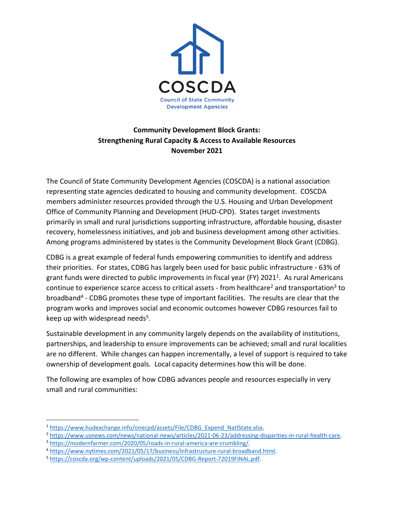

## **Community Development Block Grants: Strengthening Rural Capacity & Access to Available Resources November 2021**

The Council of State Community Development Agencies (COSCDA) is a national association representing state agencies dedicated to housing and community development. COSCDA members administer resources provided through the U.S. Housing and Urban Development Office of Community Planning and Development (HUD-CPD). States target investments primarily in small and rural jurisdictions supporting infrastructure, affordable housing, disaster recovery, homelessness initiatives, and job and business development among other activities. Among programs administered by states is the Community Development Block Grant (CDBG).

CDBG is a great example of federal funds empowering communities to identify and address their priorities. For states, CDBG has largely been used for basic public infrastructure - 63% of grant funds were directed to public improvements in fiscal year (FY) 2021<sup>1</sup>. As rural Americans continue to experience scarce access to critical assets - from healthcare<sup>2</sup> and transportation<sup>3</sup> to broadband<sup>4</sup> - CDBG promotes these type of important facilities. The results are clear that the program works and improves social and economic outcomes however CDBG resources fail to keep up with widespread needs<sup>5</sup>.

Sustainable development in any community largely depends on the availability of institutions, partnerships, and leadership to ensure improvements can be achieved; small and rural localities are no different. While changes can happen incrementally, a level of support is required to take ownership of development goals. Local capacity determines how this will be done.

The following are examples of how CDBG advances people and resources especially in very small and rural communities:

 $\overline{\phantom{a}}$ 

<sup>&</sup>lt;sup>1</sup> [https://www.hudexchange.info/onecpd/assets/File/CDBG\\_Expend\\_NatlState.xlsx.](https://www.hudexchange.info/onecpd/assets/File/CDBG_Expend_NatlState.xlsx)

<sup>2</sup> [https://www.usnews.com/news/national-news/articles/2021-06-23/addressing-disparities-in-rural-health-care.](https://www.usnews.com/news/national-news/articles/2021-06-23/addressing-disparities-in-rural-health-care)

<sup>3</sup> [https://modernfarmer.com/2020/05/roads-in-rural-america-are-crumbling/.](https://modernfarmer.com/2020/05/roads-in-rural-america-are-crumbling/) 

<sup>4</sup> [https://www.nytimes.com/2021/05/17/business/infrastructure-rural-broadband.html.](https://www.nytimes.com/2021/05/17/business/infrastructure-rural-broadband.html)

<sup>5</sup> [https://coscda.org/wp-content/uploads/2021/05/CDBG-Report-72019FINAL.pdf.](https://coscda.org/wp-content/uploads/2021/05/CDBG-Report-72019FINAL.pdf)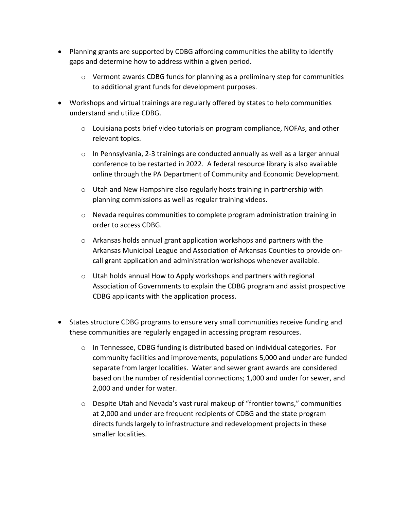- Planning grants are supported by CDBG affording communities the ability to identify gaps and determine how to address within a given period.
	- o Vermont awards CDBG funds for planning as a preliminary step for communities to additional grant funds for development purposes.
- Workshops and virtual trainings are regularly offered by states to help communities understand and utilize CDBG.
	- $\circ$  Louisiana posts brief video tutorials on program compliance, NOFAs, and other relevant topics.
	- $\circ$  In Pennsylvania, 2-3 trainings are conducted annually as well as a larger annual conference to be restarted in 2022. A federal resource library is also available online through the PA Department of Community and Economic Development.
	- $\circ$  Utah and New Hampshire also regularly hosts training in partnership with planning commissions as well as regular training videos.
	- o Nevada requires communities to complete program administration training in order to access CDBG.
	- $\circ$  Arkansas holds annual grant application workshops and partners with the Arkansas Municipal League and Association of Arkansas Counties to provide oncall grant application and administration workshops whenever available.
	- o Utah holds annual How to Apply workshops and partners with regional Association of Governments to explain the CDBG program and assist prospective CDBG applicants with the application process.
- States structure CDBG programs to ensure very small communities receive funding and these communities are regularly engaged in accessing program resources.
	- $\circ$  In Tennessee, CDBG funding is distributed based on individual categories. For community facilities and improvements, populations 5,000 and under are funded separate from larger localities. Water and sewer grant awards are considered based on the number of residential connections; 1,000 and under for sewer, and 2,000 and under for water.
	- $\circ$  Despite Utah and Nevada's vast rural makeup of "frontier towns," communities at 2,000 and under are frequent recipients of CDBG and the state program directs funds largely to infrastructure and redevelopment projects in these smaller localities.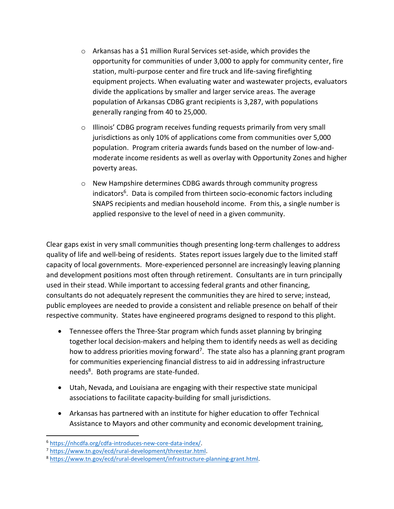- $\circ$  Arkansas has a \$1 million Rural Services set-aside, which provides the opportunity for communities of under 3,000 to apply for community center, fire station, multi-purpose center and fire truck and life-saving firefighting equipment projects. When evaluating water and wastewater projects, evaluators divide the applications by smaller and larger service areas. The average population of Arkansas CDBG grant recipients is 3,287, with populations generally ranging from 40 to 25,000.
- o Illinois' CDBG program receives funding requests primarily from very small jurisdictions as only 10% of applications come from communities over 5,000 population. Program criteria awards funds based on the number of low-andmoderate income residents as well as overlay with Opportunity Zones and higher poverty areas.
- o New Hampshire determines CDBG awards through community progress indicators<sup>6</sup>. Data is compiled from thirteen socio-economic factors including SNAPS recipients and median household income. From this, a single number is applied responsive to the level of need in a given community.

Clear gaps exist in very small communities though presenting long-term challenges to address quality of life and well-being of residents. States report issues largely due to the limited staff capacity of local governments. More-experienced personnel are increasingly leaving planning and development positions most often through retirement. Consultants are in turn principally used in their stead. While important to accessing federal grants and other financing, consultants do not adequately represent the communities they are hired to serve; instead, public employees are needed to provide a consistent and reliable presence on behalf of their respective community. States have engineered programs designed to respond to this plight.

- Tennessee offers the Three-Star program which funds asset planning by bringing together local decision-makers and helping them to identify needs as well as deciding how to address priorities moving forward<sup>7</sup>. The state also has a planning grant program for communities experiencing financial distress to aid in addressing infrastructure needs<sup>8</sup>. Both programs are state-funded.
- Utah, Nevada, and Louisiana are engaging with their respective state municipal associations to facilitate capacity-building for small jurisdictions.
- Arkansas has partnered with an institute for higher education to offer Technical Assistance to Mayors and other community and economic development training,

 $\overline{\phantom{a}}$ 

<sup>6</sup> [https://nhcdfa.org/cdfa-introduces-new-core-data-index/.](https://nhcdfa.org/cdfa-introduces-new-core-data-index/)

<sup>7</sup> [https://www.tn.gov/ecd/rural-development/threestar.html.](https://www.tn.gov/ecd/rural-development/threestar.html)

<sup>8</sup> [https://www.tn.gov/ecd/rural-development/infrastructure-planning-grant.html.](https://www.tn.gov/ecd/rural-development/infrastructure-planning-grant.html)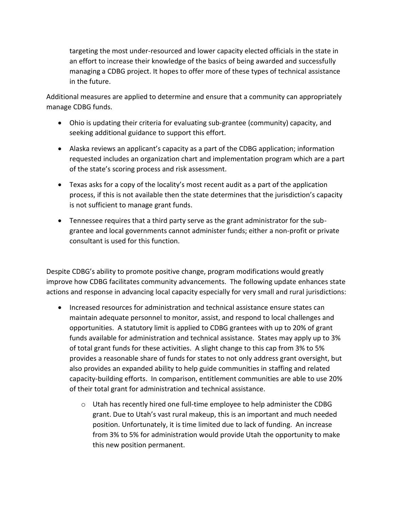targeting the most under-resourced and lower capacity elected officials in the state in an effort to increase their knowledge of the basics of being awarded and successfully managing a CDBG project. It hopes to offer more of these types of technical assistance in the future.

Additional measures are applied to determine and ensure that a community can appropriately manage CDBG funds.

- Ohio is updating their criteria for evaluating sub-grantee (community) capacity, and seeking additional guidance to support this effort.
- Alaska reviews an applicant's capacity as a part of the CDBG application; information requested includes an organization chart and implementation program which are a part of the state's scoring process and risk assessment.
- Texas asks for a copy of the locality's most recent audit as a part of the application process, if this is not available then the state determines that the jurisdiction's capacity is not sufficient to manage grant funds.
- Tennessee requires that a third party serve as the grant administrator for the subgrantee and local governments cannot administer funds; either a non-profit or private consultant is used for this function.

Despite CDBG's ability to promote positive change, program modifications would greatly improve how CDBG facilitates community advancements. The following update enhances state actions and response in advancing local capacity especially for very small and rural jurisdictions:

- Increased resources for administration and technical assistance ensure states can maintain adequate personnel to monitor, assist, and respond to local challenges and opportunities. A statutory limit is applied to CDBG grantees with up to 20% of grant funds available for administration and technical assistance. States may apply up to 3% of total grant funds for these activities. A slight change to this cap from 3% to 5% provides a reasonable share of funds for states to not only address grant oversight, but also provides an expanded ability to help guide communities in staffing and related capacity-building efforts. In comparison, entitlement communities are able to use 20% of their total grant for administration and technical assistance.
	- o Utah has recently hired one full-time employee to help administer the CDBG grant. Due to Utah's vast rural makeup, this is an important and much needed position. Unfortunately, it is time limited due to lack of funding. An increase from 3% to 5% for administration would provide Utah the opportunity to make this new position permanent.